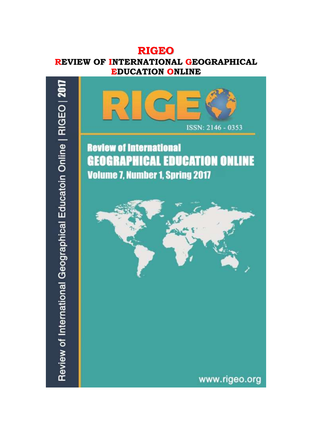# **RIGEO**

## **REVIEW OF INTERNATIONAL GEOGRAPHICAL EDUCATION ONLINE**

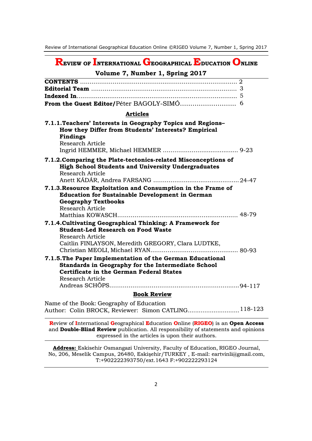**REVIEW OF INTERNATIONAL GEOGRAPHICAL EDUCATION ONLINE**

### **Volume 7, Number 1, Spring 2017**

| <b>Articles</b>                                                |  |
|----------------------------------------------------------------|--|
| 7.1.1. Teachers' Interests in Geography Topics and Regions-    |  |
| How they Differ from Students' Interests? Empirical            |  |
| <b>Findings</b>                                                |  |
| Research Article                                               |  |
|                                                                |  |
| 7.1.2. Comparing the Plate-tectonics-related Misconceptions of |  |
| <b>High School Students and University Undergraduates</b>      |  |
| Research Article                                               |  |
| $24 - 47$                                                      |  |
| 7.1.3. Resource Exploitation and Consumption in the Frame of   |  |
| <b>Education for Sustainable Development in German</b>         |  |
| <b>Geography Textbooks</b>                                     |  |
| <b>Research Article</b>                                        |  |
|                                                                |  |
| 7.1.4. Cultivating Geographical Thinking: A Framework for      |  |
| <b>Student-Led Research on Food Waste</b>                      |  |
| Research Article                                               |  |
| Caitlin FINLAYSON, Meredith GREGORY, Clara LUDTKE,             |  |
|                                                                |  |
| 7.1.5. The Paper Implementation of the German Educational      |  |
| Standards in Geography for the Intermediate School             |  |
| <b>Certificate in the German Federal States</b>                |  |
| Research Article                                               |  |
|                                                                |  |
| <b>Book Review</b>                                             |  |

Name of the Book: Geography of Education Author: Colin BROCK, Reviewer: Simon CATLING............................118-123

**R**eview of **I**nternational **G**eographical **E**ducation **O**nline (**RIGEO**) is an **Open Access** and **Double-Blind Review** publication. All responsibility of statements and opinions expressed in the articles is upon their authors.

**Address:** Eskisehir Osmangazi University, Faculty of Education, RIGEO Journal, No, 206, Meselik Campus, 26480, Eskişehir/TURKEY , E-mail: [eartvinli@gmail.com,](mailto:eartvinli@gmail.com) T:+902222393750/ext.1643 F:+902222293124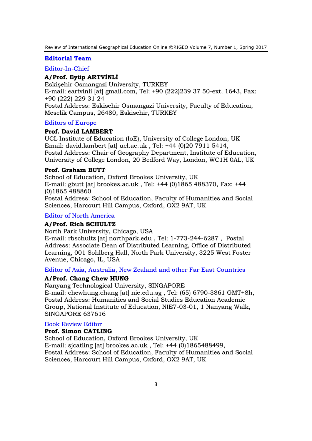#### **Editorial Team**

#### Editor-In-Chief

#### **A/Prof. Eyüp ARTVİNLİ**

Eskişehir Osmangazi University, TURKEY E-mail: eartvinli [at] gmail.com, Tel: +90 (222)239 37 50-ext. 1643, Fax: +90 (222) 229 31 24 Postal Address: Eskisehir Osmangazi University, Faculty of Education, Meselik Campus, 26480, Eskisehir, TURKEY

#### Editors of Europe

#### **Prof. David LAMBERT**

UCL Institute of Education (IoE), University of College London, UK Email: david.lambert [at] ucl.ac.uk , Tel: +44 (0)20 7911 5414, Postal Address: Chair of Geography Department, Institute of Education, University of College London, 20 Bedford Way, London, WC1H 0AL, UK

#### **Prof. Graham BUTT**

School of Education, Oxford Brookes University, UK E-mail: gbutt [at] brookes.ac.uk , Tel: +44 (0)1865 488370, Fax: +44 (0)1865 488860 Postal Address: School of Education, Faculty of Humanities and Social Sciences, Harcourt Hill Campus, Oxford, OX2 9AT, UK

#### Editor of North America

#### **A/Prof. Rich SCHULTZ**

North Park University, Chicago, USA

E-mail: rbschultz [at] northpark.edu , Tel: 1-773-244-6287 , Postal Address: Associate Dean of Distributed Learning, Office of Distributed Learning, 001 Sohlberg Hall, North Park University, 3225 West Foster Avenue, Chicago, IL, USA

#### Editor of Asia, Australia, New Zealand and other Far East Countries

#### **A/Prof. Chang Chew HUNG**

Nanyang Technological University, SINGAPORE

E-mail: chewhung.chang [at] nie.edu.sg , Tel: (65) 6790-3861 GMT+8h, Postal Address: Humanities and Social Studies Education Academic Group, National Institute of Education, NIE7-03-01, 1 Nanyang Walk, SINGAPORE 637616

#### Book Review Editor

#### **Prof. Simon CATLING**

School of Education, Oxford Brookes University, UK E-mail: sjcatling [at] brookes.ac.uk , Tel: +44 (0)1865488499, Postal Address: School of Education, Faculty of Humanities and Social Sciences, Harcourt Hill Campus, Oxford, OX2 9AT, UK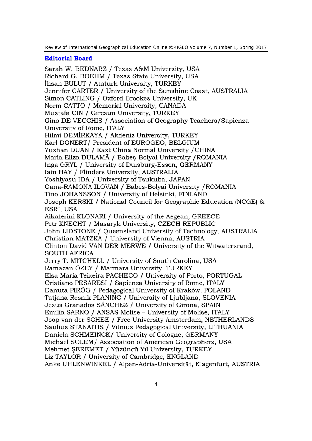#### **Editorial Board**

Sarah W. BEDNARZ / Texas A&M University, USA Richard G. BOEHM / Texas State University, USA İhsan BULUT / Ataturk University, TURKEY Jennifer CARTER / University of the Sunshine Coast, AUSTRALIA Simon CATLING / Oxford Brookes University, UK Norm CATTO / Memorial University, CANADA Mustafa CIN / Giresun University, TURKEY Gino DE VECCHIS / Association of Geography Teachers/Sapienza University of Rome, ITALY Hilmi DEMİRKAYA / Akdeniz University, TURKEY Karl DONERT/ President of EUROGEO, BELGIUM Yushan DUAN / East China Normal University /CHINA Maria Eliza DULAMĂ / Babeş-Bolyai University /ROMANIA Inga GRYL / University of Duisburg-Essen, GERMANY Iain HAY / Flinders University, AUSTRALIA Yoshiyasu IDA / University of Tsukuba, JAPAN Oana-RAMONA ILOVAN / Babeş-Bolyai University /ROMANIA Tino JOHANSSON / University of Helsinki, FINLAND Joseph KERSKI / National Council for Geographic Education (NCGE) & ESRI, USA Aikaterini KLONARI / University of the Aegean, GREECE Petr KNECHT / Masaryk University, CZECH REPUBLIC John LIDSTONE / Queensland University of Technology, AUSTRALIA Christian MATZKA / University of Vienna, AUSTRIA Clinton David VAN DER MERWE / University of the Witwatersrand, SOUTH AFRICA Jerry T. MITCHELL / University of South Carolina, USA Ramazan ÖZEY / Marmara University, TURKEY Elsa Maria Teixeira PACHECO / University of Porto, PORTUGAL Cristiano PESARESI / Sapienza University of Rome, ITALY Danuta PIRÓG / Pedagogical University of Kraków, POLAND Tatjana Resnik PLANINC / University of Ljubljana, SLOVENIA Jesus Granados SÁNCHEZ / University of Girona, SPAIN Emilia SARNO / ANSAS Molise – University of Molise, ITALY Joop van der SCHEE / Free University Amsterdam, NETHERLANDS Saulius STANAITIS / Vilnius Pedagogical University, LITHUANIA Daniela SCHMEINCK/ University of Cologne, GERMANY Michael SOLEM/ Association of American Geographers, USA Mehmet ŞEREMET / Yüzüncü Yıl University, TURKEY Liz TAYLOR / University of Cambridge, ENGLAND Anke UHLENWINKEL / Alpen-Adria-Universität, Klagenfurt, AUSTRIA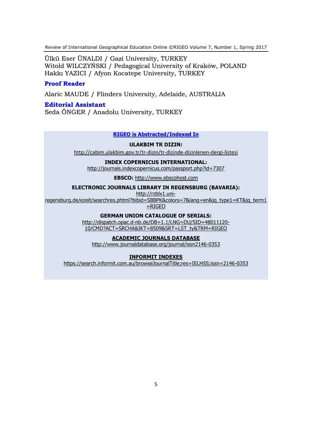Ülkü Eser ÜNALDI / Gazi University, TURKEY Witold WILCZYŃSKI / Pedagogical University of Kraków, POLAND Hakkı YAZICI / Afyon Kocatepe University, TURKEY

#### **Proof Reader**

Alaric MAUDE / Flinders University, Adelaide, AUSTRALIA

#### **Editorial Assistant**

Seda ÖNGER / Anadolu University, TURKEY

#### **RIGEO is Abstracted/Indexed In**

#### **ULAKBIM TR DIZIN:**

http://cabim.ulakbim.gov.tr/tr-dizin/tr-dizinde-dizinlenen-dergi-listesi

#### **INDEX COPERNICUS INTERNATIONAL:**

<http://journals.indexcopernicus.com/passport.php?id=7307>

**EBSCO:** [http://www.ebscohost.com](http://www.ebscohost.com/)

#### **ELECTRONIC JOURNALS LIBRARY IN REGENSBURG (BAVARIA):**

[http://rzblx1.uni-](http://rzblx1.uni-regensburg.de/ezeit/searchres.phtml?bibid=SBBPK&colors=7&lang=en&jq_type1=KT&jq_term1=RIGEO)

[regensburg.de/ezeit/searchres.phtml?bibid=SBBPK&colors=7&lang=en&jq\\_type1=KT&jq\\_term1](http://rzblx1.uni-regensburg.de/ezeit/searchres.phtml?bibid=SBBPK&colors=7&lang=en&jq_type1=KT&jq_term1=RIGEO)

 $=$ RIGEO

#### **GERMAN UNION CATALOGUE OF SERIALS:**

[http://dispatch.opac.d-nb.de/DB=1.1/LNG=DU/SID=48011120-](http://dispatch.opac.d-nb.de/DB=1.1/LNG=DU/SID=48011120-10/CMD?ACT=SRCHA&IKT=8509&SRT=LST_ty&TRM=RIGEO) [10/CMD?ACT=SRCHA&IKT=8509&SRT=LST\\_ty&TRM=RIGEO](http://dispatch.opac.d-nb.de/DB=1.1/LNG=DU/SID=48011120-10/CMD?ACT=SRCHA&IKT=8509&SRT=LST_ty&TRM=RIGEO)

#### **ACADEMIC JOURNALS DATABASE**

<http://www.journaldatabase.org/journal/issn2146-0353>

#### **INFORMIT INDEXES**

<https://search.informit.com.au/browseJournalTitle;res=IELHSS;issn=2146-0353>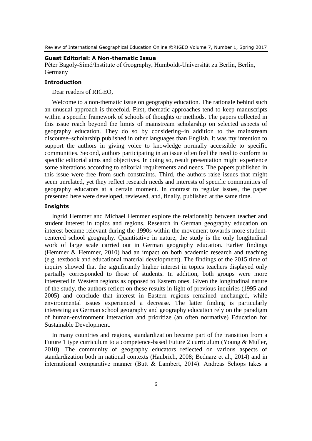#### **Guest Editorial: A Non-thematic Issue**

Péter Bagoly-Simó/Institute of Geography, Humboldt-Universität zu Berlin, Berlin, Germany

#### **Introduction**

Dear readers of RIGEO,

Welcome to a non-thematic issue on geography education. The rationale behind such an unusual approach is threefold. First, thematic approaches tend to keep manuscripts within a specific framework of schools of thoughts or methods. The papers collected in this issue reach beyond the limits of mainstream scholarship on selected aspects of geography education. They do so by considering–in addition to the mainstream discourse–scholarship published in other languages than English. It was my intention to support the authors in giving voice to knowledge normally accessible to specific communities. Second, authors participating in an issue often feel the need to conform to specific editorial aims and objectives. In doing so, result presentation might experience some alterations according to editorial requirements and needs. The papers published in this issue were free from such constraints. Third, the authors raise issues that might seem unrelated, yet they reflect research needs and interests of specific communities of geography educators at a certain moment. In contrast to regular issues, the paper presented here were developed, reviewed, and, finally, published at the same time.

#### **Insights**

Ingrid Hemmer and Michael Hemmer explore the relationship between teacher and student interest in topics and regions. Research in German geography education on interest became relevant during the 1990s within the movement towards more studentcentered school geography. Quantitative in nature, the study is the only longitudinal work of large scale carried out in German geography education. Earlier findings (Hemmer & Hemmer, 2010) had an impact on both academic research and teaching (e.g. textbook and educational material development). The findings of the 2015 time of inquiry showed that the significantly higher interest in topics teachers displayed only partially corresponded to those of students. In addition, both groups were more interested in Western regions as opposed to Eastern ones. Given the longitudinal nature of the study, the authors reflect on these results in light of previous inquiries (1995 and 2005) and conclude that interest in Eastern regions remained unchanged, while environmental issues experienced a decrease. The latter finding is particularly interesting as German school geography and geography education rely on the paradigm of human-environment interaction and prioritize (an often normative) Education for Sustainable Development.

In many countries and regions, standardization became part of the transition from a Future 1 type curriculum to a competence-based Future 2 curriculum (Young & Muller, 2010). The community of geography educators reflected on various aspects of standardization both in national contexts (Haubrich, 2008; Bednarz et al., 2014) and in international comparative manner (Butt & Lambert, 2014). Andreas Schöps takes a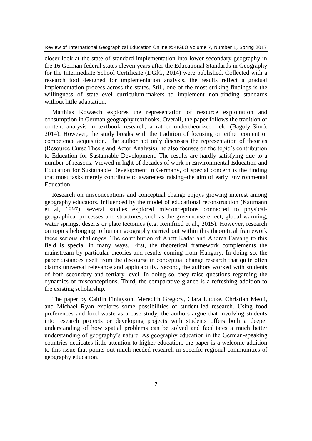closer look at the state of standard implementation into lower secondary geography in the 16 German federal states eleven years after the Educational Standards in Geography for the Intermediate School Certificate (DGfG, 2014) were published. Collected with a research tool designed for implementation analysis, the results reflect a gradual implementation process across the states. Still, one of the most striking findings is the willingness of state-level curriculum-makers to implement non-binding standards without little adaptation.

Matthias Kowasch explores the representation of resource exploitation and consumption in German geography textbooks. Overall, the paper follows the tradition of content analysis in textbook research, a rather undertheorized field (Bagoly-Simó, 2014). However, the study breaks with the tradition of focusing on either content or competence acquisition. The author not only discusses the representation of theories (Resource Curse Thesis and Actor Analysis), he also focuses on the topic's contribution to Education for Sustainable Development. The results are hardly satisfying due to a number of reasons. Viewed in light of decades of work in Environmental Education and Education for Sustainable Development in Germany, of special concern is the finding that most tasks merely contribute to awareness raising–the aim of early Environmental Education.

Research on misconceptions and conceptual change enjoys growing interest among geography educators. Influenced by the model of educational reconstruction (Kattmann et al, 1997), several studies explored misconceptions connected to physicalgeographical processes and structures, such as the greenhouse effect, global warming, water springs, deserts or plate tectonics (e.g. Reinfried et al., 2015). However, research on topics belonging to human geography carried out within this theoretical framework faces serious challenges. The contribution of Anett Kádár and Andrea Farsang to this field is special in many ways. First, the theoretical framework complements the mainstream by particular theories and results coming from Hungary. In doing so, the paper distances itself from the discourse in conceptual change research that quite often claims universal relevance and applicability. Second, the authors worked with students of both secondary and tertiary level. In doing so, they raise questions regarding the dynamics of misconceptions. Third, the comparative glance is a refreshing addition to the existing scholarship.

The paper by Caitlin Finlayson, Meredith Gregory, Clara Ludtke, Christian Meoli, and Michael Ryan explores some possibilities of student-led research. Using food preferences and food waste as a case study, the authors argue that involving students into research projects or developing projects with students offers both a deeper understanding of how spatial problems can be solved and facilitates a much better understanding of geography's nature. As geography education in the German-speaking countries dedicates little attention to higher education, the paper is a welcome addition to this issue that points out much needed research in specific regional communities of geography education.